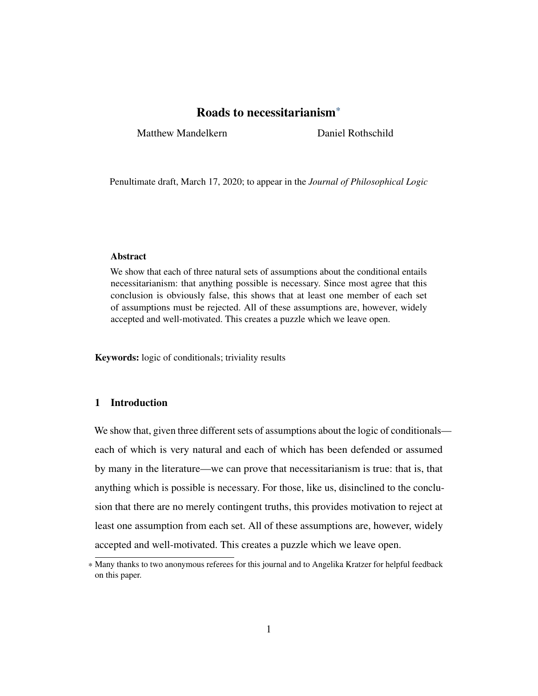<span id="page-0-0"></span>Matthew Mandelkern Daniel Rothschild

Penultimate draft, March 17, 2020; to appear in the *Journal of Philosophical Logic*

# Abstract

We show that each of three natural sets of assumptions about the conditional entails necessitarianism: that anything possible is necessary. Since most agree that this conclusion is obviously false, this shows that at least one member of each set of assumptions must be rejected. All of these assumptions are, however, widely accepted and well-motivated. This creates a puzzle which we leave open.

Keywords: logic of conditionals; triviality results

# 1 Introduction

We show that, given three different sets of assumptions about the logic of conditionals each of which is very natural and each of which has been defended or assumed by many in the literature—we can prove that necessitarianism is true: that is, that anything which is possible is necessary. For those, like us, disinclined to the conclusion that there are no merely contingent truths, this provides motivation to reject at least one assumption from each set. All of these assumptions are, however, widely accepted and well-motivated. This creates a puzzle which we leave open.

<sup>\*</sup> Many thanks to two anonymous referees for this journal and to Angelika Kratzer for helpful feedback on this paper.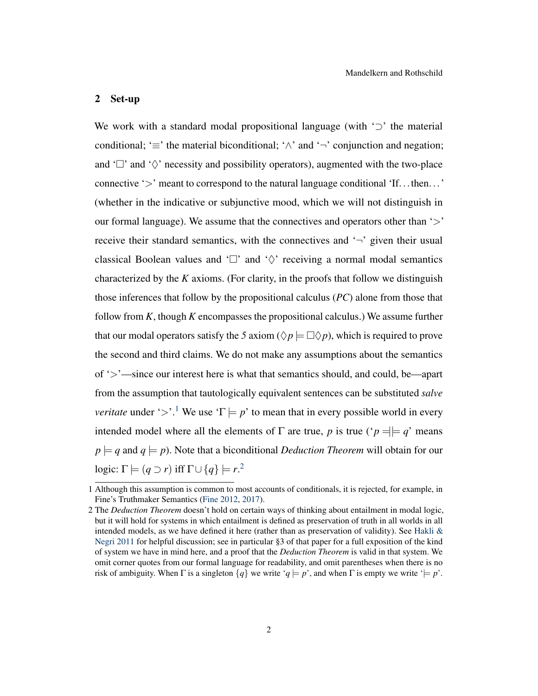#### 2 Set-up

We work with a standard modal propositional language (with  $\omega'$ ) the material conditional; ' $\equiv$ ' the material biconditional; ' $\land$ ' and '¬' conjunction and negation; and ' $\Box$ ' and ' $\Diamond$ ' necessity and possibility operators), augmented with the two-place connective '>' meant to correspond to the natural language conditional 'If...then...' (whether in the indicative or subjunctive mood, which we will not distinguish in our formal language). We assume that the connectives and operators other than  $\cdot$ receive their standard semantics, with the connectives and  $\sim$  given their usual classical Boolean values and ' $\Box$ ' and ' $\Diamond$ ' receiving a normal modal semantics characterized by the *K* axioms. (For clarity, in the proofs that follow we distinguish those inferences that follow by the propositional calculus (*PC*) alone from those that follow from *K*, though *K* encompasses the propositional calculus.) We assume further that our modal operators satisfy the 5 axiom ( $\Diamond p \models \Box \Diamond p$ ), which is required to prove the second and third claims. We do not make any assumptions about the semantics of '>'—since our interest here is what that semantics should, and could, be—apart from the assumption that tautologically equivalent sentences can be substituted *salve veritate* under '>'.<sup>[1](#page-0-0)</sup> We use ' $\Gamma \models p'$  to mean that in every possible world in every intended model where all the elements of  $\Gamma$  are true, *p* is true (' $p = \nvert q$ ' means  $p \models q$  and  $q \models p$ ). Note that a biconditional *Deduction Theorem* will obtain for our logic:  $\Gamma \models (q \supset r)$  iff  $\Gamma \cup \{q\} \models r$ .<sup>[2](#page-0-0)</sup>

<sup>1</sup> Although this assumption is common to most accounts of conditionals, it is rejected, for example, in Fine's Truthmaker Semantics [\(Fine](#page-9-0) [2012,](#page-9-0) [2017\)](#page-9-1).

<sup>2</sup> The *Deduction Theorem* doesn't hold on certain ways of thinking about entailment in modal logic, but it will hold for systems in which entailment is defined as preservation of truth in all worlds in all intended models, as we have defined it here (rather than as preservation of validity). See Hakli  $\&$ [Negri](#page-10-0) [2011](#page-10-0) for helpful discussion; see in particular §3 of that paper for a full exposition of the kind of system we have in mind here, and a proof that the *Deduction Theorem* is valid in that system. We omit corner quotes from our formal language for readability, and omit parentheses when there is no risk of ambiguity. When  $\Gamma$  is a singleton  $\{q\}$  we write ' $q \models p'$ ', and when  $\Gamma$  is empty we write ' $\models p'$ '.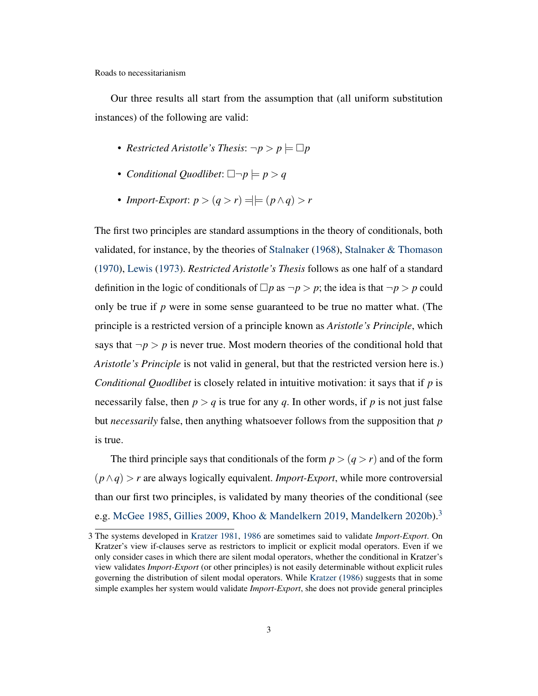Our three results all start from the assumption that (all uniform substitution instances) of the following are valid:

- *Restricted Aristotle's Thesis:*  $\neg p > p \models \Box p$
- *Conditional Quodlibet*:  $\Box \neg p \models p > q$
- *Import-Export*:  $p > (q > r) = |f|/(p \land q) > r$

The first two principles are standard assumptions in the theory of conditionals, both validated, for instance, by the theories of [Stalnaker](#page-10-1) [\(1968\)](#page-10-1), [Stalnaker & Thomason](#page-10-2) [\(1970\)](#page-10-2), [Lewis](#page-10-3) [\(1973\)](#page-10-3). *Restricted Aristotle's Thesis* follows as one half of a standard definition in the logic of conditionals of  $\Box p$  as  $\neg p > p$ ; the idea is that  $\neg p > p$  could only be true if *p* were in some sense guaranteed to be true no matter what. (The principle is a restricted version of a principle known as *Aristotle's Principle*, which says that  $\neg p > p$  is never true. Most modern theories of the conditional hold that *Aristotle's Principle* is not valid in general, but that the restricted version here is.) *Conditional Quodlibet* is closely related in intuitive motivation: it says that if *p* is necessarily false, then  $p > q$  is true for any q. In other words, if p is not just false but *necessarily* false, then anything whatsoever follows from the supposition that *p* is true.

The third principle says that conditionals of the form  $p > (q > r)$  and of the form (*p*∧*q*) > *r* are always logically equivalent. *Import-Export*, while more controversial than our first two principles, is validated by many theories of the conditional (see e.g. [McGee](#page-10-4) [1985,](#page-10-4) [Gillies](#page-9-2) [2009,](#page-9-2) [Khoo & Mandelkern](#page-10-5) [2019,](#page-10-5) [Mandelkern](#page-10-6) [2020b\)](#page-10-6).<sup>[3](#page-0-0)</sup>

<sup>3</sup> The systems developed in [Kratzer](#page-10-7) [1981,](#page-10-7) [1986](#page-10-8) are sometimes said to validate *Import-Export*. On Kratzer's view if-clauses serve as restrictors to implicit or explicit modal operators. Even if we only consider cases in which there are silent modal operators, whether the conditional in Kratzer's view validates *Import-Export* (or other principles) is not easily determinable without explicit rules governing the distribution of silent modal operators. While [Kratzer](#page-10-8) [\(1986\)](#page-10-8) suggests that in some simple examples her system would validate *Import-Export*, she does not provide general principles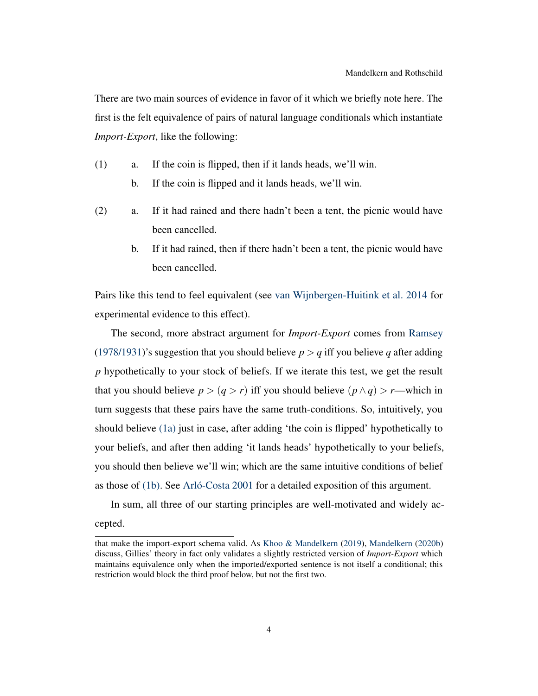There are two main sources of evidence in favor of it which we briefly note here. The first is the felt equivalence of pairs of natural language conditionals which instantiate *Import-Export*, like the following:

- <span id="page-3-1"></span><span id="page-3-0"></span>(1) a. If the coin is flipped, then if it lands heads, we'll win.
	- b. If the coin is flipped and it lands heads, we'll win.
- (2) a. If it had rained and there hadn't been a tent, the picnic would have been cancelled.
	- b. If it had rained, then if there hadn't been a tent, the picnic would have been cancelled.

Pairs like this tend to feel equivalent (see [van Wijnbergen-Huitink et al.](#page-10-9) [2014](#page-10-9) for experimental evidence to this effect).

The second, more abstract argument for *Import-Export* comes from [Ramsey](#page-10-10) [\(1978/1931\)](#page-10-10)'s suggestion that you should believe  $p > q$  iff you believe q after adding *p* hypothetically to your stock of beliefs. If we iterate this test, we get the result that you should believe  $p > (q > r)$  iff you should believe  $(p \land q) > r$ —which in turn suggests that these pairs have the same truth-conditions. So, intuitively, you should believe [\(1a\)](#page-3-0) just in case, after adding 'the coin is flipped' hypothetically to your beliefs, and after then adding 'it lands heads' hypothetically to your beliefs, you should then believe we'll win; which are the same intuitive conditions of belief as those of [\(1b\).](#page-3-1) See [Arló-Costa](#page-9-3) [2001](#page-9-3) for a detailed exposition of this argument.

In sum, all three of our starting principles are well-motivated and widely ac-

cepted.

that make the import-export schema valid. As [Khoo & Mandelkern](#page-10-5) [\(2019\)](#page-10-5), [Mandelkern](#page-10-6) [\(2020b\)](#page-10-6) discuss, Gillies' theory in fact only validates a slightly restricted version of *Import-Export* which maintains equivalence only when the imported/exported sentence is not itself a conditional; this restriction would block the third proof below, but not the first two.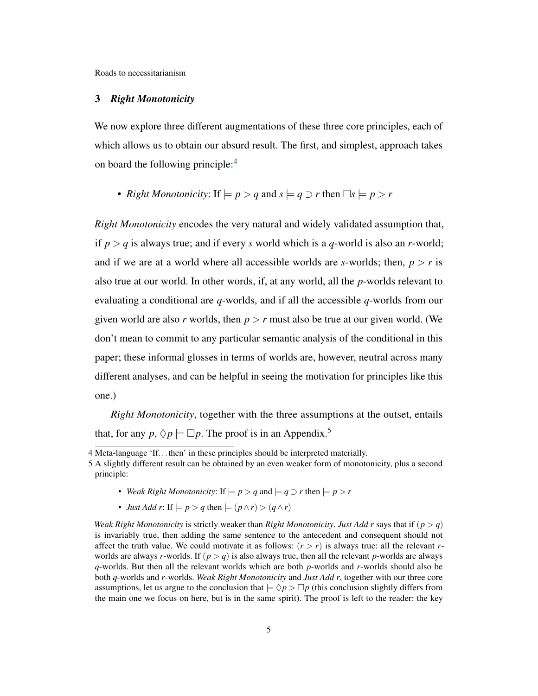#### 3 *Right Monotonicity*

We now explore three different augmentations of these three core principles, each of which allows us to obtain our absurd result. The first, and simplest, approach takes on board the following principle:<sup>[4](#page-0-0)</sup>

• *Right Monotonicity:* If  $\models p > q$  and  $s \models q \supset r$  then  $\Box s \models p > r$ 

*Right Monotonicity* encodes the very natural and widely validated assumption that, if  $p > q$  is always true; and if every *s* world which is a *q*-world is also an *r*-world; and if we are at a world where all accessible worlds are *s*-worlds; then,  $p > r$  is also true at our world. In other words, if, at any world, all the *p*-worlds relevant to evaluating a conditional are *q*-worlds, and if all the accessible *q*-worlds from our given world are also *r* worlds, then  $p > r$  must also be true at our given world. (We don't mean to commit to any particular semantic analysis of the conditional in this paper; these informal glosses in terms of worlds are, however, neutral across many different analyses, and can be helpful in seeing the motivation for principles like this one.)

*Right Monotonicity*, together with the three assumptions at the outset, entails that, for any  $p, \Diamond p \models \Box p$ . The proof is in an Appendix.<sup>[5](#page-0-0)</sup>

- *Weak Right Monotonicity:* If  $\models p > q$  and  $\models q \supset r$  then  $\models p > r$
- *Just Add r*: If  $\models p > q$  then  $\models (p \land r) > (q \land r)$

*Weak Right Monotonicity* is strictly weaker than *Right Monotonicity*. *Just Add r* says that if  $(p > q)$ is invariably true, then adding the same sentence to the antecedent and consequent should not affect the truth value. We could motivate it as follows:  $(r > r)$  is always true: all the relevant *r*worlds are always *r*-worlds. If  $(p > q)$  is also always true, then all the relevant *p*-worlds are always *q*-worlds. But then all the relevant worlds which are both *p*-worlds and *r*-worlds should also be both *q*-worlds and *r*-worlds. *Weak Right Monotonicity* and *Just Add r*, together with our three core assumptions, let us argue to the conclusion that  $\models \Diamond p > \Box p$  (this conclusion slightly differs from the main one we focus on here, but is in the same spirit). The proof is left to the reader: the key

<sup>4</sup> Meta-language 'If...then' in these principles should be interpreted materially.

<sup>5</sup> A slightly different result can be obtained by an even weaker form of monotonicity, plus a second principle: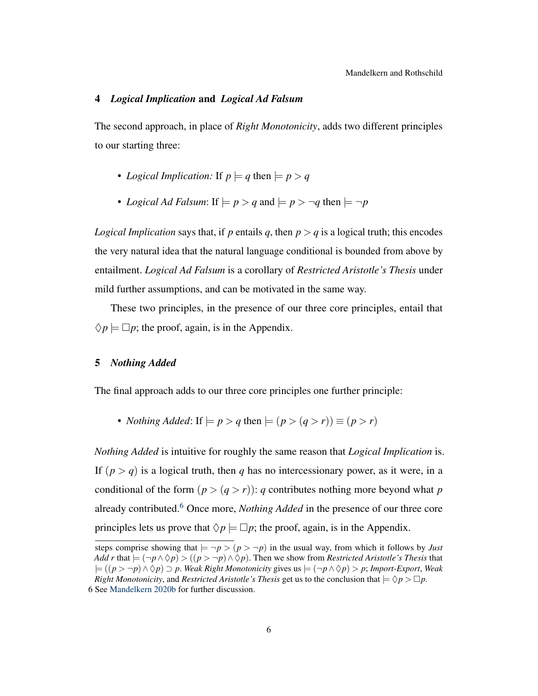#### 4 *Logical Implication* and *Logical Ad Falsum*

The second approach, in place of *Right Monotonicity*, adds two different principles to our starting three:

- *Logical Implication:* If  $p \models q$  then  $\models p > q$
- *Logical Ad Falsum*: If  $\models p > q$  and  $\models p > \neg q$  then  $\models \neg p$

*Logical Implication* says that, if *p* entails *q*, then  $p > q$  is a logical truth; this encodes the very natural idea that the natural language conditional is bounded from above by entailment. *Logical Ad Falsum* is a corollary of *Restricted Aristotle's Thesis* under mild further assumptions, and can be motivated in the same way.

These two principles, in the presence of our three core principles, entail that  $\Diamond p \models \Box p$ ; the proof, again, is in the Appendix.

#### 5 *Nothing Added*

The final approach adds to our three core principles one further principle:

• *Nothing Added*: If  $\models p > q$  then  $\models (p > (q > r)) \equiv (p > r)$ 

*Nothing Added* is intuitive for roughly the same reason that *Logical Implication* is. If  $(p > q)$  is a logical truth, then *q* has no intercessionary power, as it were, in a conditional of the form  $(p > (q > r))$ : *q* contributes nothing more beyond what *p* already contributed.[6](#page-0-0) Once more, *Nothing Added* in the presence of our three core principles lets us prove that  $\Diamond p \models \Box p$ ; the proof, again, is in the Appendix.

steps comprise showing that  $\models \neg p > (p > \neg p)$  in the usual way, from which it follows by *Just Add r* that  $\models (\neg p \land \Diamond p) > ((p > \neg p) \land \Diamond p)$ . Then we show from *Restricted Aristotle's Thesis* that |= ((*p* > ¬*p*)∧♦*p*) ⊃ *p*. *Weak Right Monotonicity* gives us |= (¬*p*∧♦*p*) > *p*; *Import-Export*, *Weak Right Monotonicity*, and *Restricted Aristotle's Thesis* get us to the conclusion that  $= \Diamond p > \Box p$ .

<sup>6</sup> See [Mandelkern](#page-10-6) [2020b](#page-10-6) for further discussion.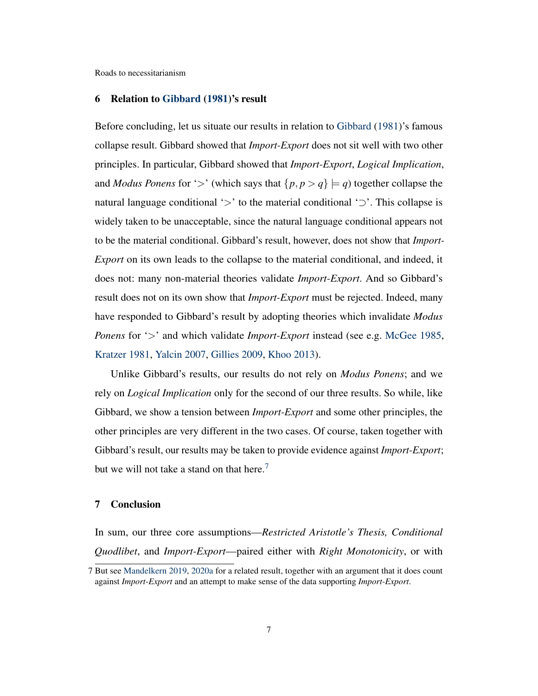#### 6 Relation to [Gibbard](#page-9-4) [\(1981\)](#page-9-4)'s result

Before concluding, let us situate our results in relation to [Gibbard](#page-9-4) [\(1981\)](#page-9-4)'s famous collapse result. Gibbard showed that *Import-Export* does not sit well with two other principles. In particular, Gibbard showed that *Import-Export*, *Logical Implication*, and *Modus Ponens* for '>' (which says that  $\{p, p > q\} \models q$ ) together collapse the natural language conditional '>' to the material conditional ' $\supset$ '. This collapse is widely taken to be unacceptable, since the natural language conditional appears not to be the material conditional. Gibbard's result, however, does not show that *Import-Export* on its own leads to the collapse to the material conditional, and indeed, it does not: many non-material theories validate *Import-Export*. And so Gibbard's result does not on its own show that *Import-Export* must be rejected. Indeed, many have responded to Gibbard's result by adopting theories which invalidate *Modus Ponens* for '>' and which validate *Import-Export* instead (see e.g. [McGee](#page-10-4) [1985,](#page-10-4) [Kratzer](#page-10-7) [1981,](#page-10-7) [Yalcin](#page-10-11) [2007,](#page-10-11) [Gillies](#page-9-2) [2009,](#page-9-2) [Khoo](#page-10-12) [2013\)](#page-10-12).

Unlike Gibbard's results, our results do not rely on *Modus Ponens*; and we rely on *Logical Implication* only for the second of our three results. So while, like Gibbard, we show a tension between *Import-Export* and some other principles, the other principles are very different in the two cases. Of course, taken together with Gibbard's result, our results may be taken to provide evidence against *Import-Export*; but we will not take a stand on that here.<sup>[7](#page-0-0)</sup>

# 7 Conclusion

In sum, our three core assumptions—*Restricted Aristotle's Thesis, Conditional Quodlibet*, and *Import-Export*—paired either with *Right Monotonicity*, or with

<sup>7</sup> But see [Mandelkern](#page-10-13) [2019,](#page-10-13) [2020a](#page-10-14) for a related result, together with an argument that it does count against *Import-Export* and an attempt to make sense of the data supporting *Import-Export*.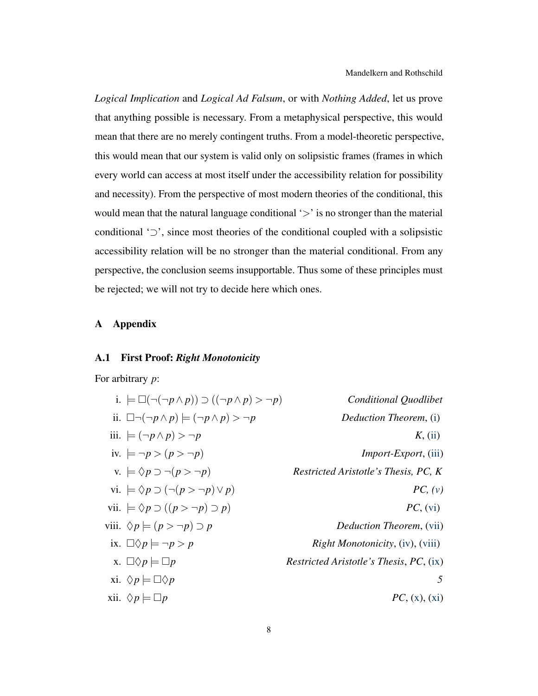*Logical Implication* and *Logical Ad Falsum*, or with *Nothing Added*, let us prove that anything possible is necessary. From a metaphysical perspective, this would mean that there are no merely contingent truths. From a model-theoretic perspective, this would mean that our system is valid only on solipsistic frames (frames in which every world can access at most itself under the accessibility relation for possibility and necessity). From the perspective of most modern theories of the conditional, this would mean that the natural language conditional  $\leq$  is no stronger than the material conditional '⊃', since most theories of the conditional coupled with a solipsistic accessibility relation will be no stronger than the material conditional. From any perspective, the conclusion seems insupportable. Thus some of these principles must be rejected; we will not try to decide here which ones.

# A Appendix

# A.1 First Proof: *Right Monotonicity*

For arbitrary *p*:

<span id="page-7-5"></span><span id="page-7-4"></span><span id="page-7-3"></span><span id="page-7-2"></span><span id="page-7-1"></span><span id="page-7-0"></span>i. 
$$
\models \Box(\neg(\neg p \land p)) \supset ((\neg p \land p) > \neg p)
$$
 *Conditional Quadribet*  
\nii.  $\Box \neg(\neg p \land p) \models (\neg p \land p) > \neg p$  *Deduction Theorem*, (i)  
\niii.  $\models (\neg p \land p) > \neg p$  *K*, (ii)  
\niv.  $\models \neg p > (p > \neg p)$  *Inport-Export*, (iii)  
\nv.  $\models \Diamond p \supset (\neg (p > \neg p) \lor p)$  *PC*, (v)  
\nvii.  $\models \Diamond p \supset ((p > \neg p) \supset p)$  *PC*, (vi)  
\nviii.  $\Diamond p \models (p > \neg p) \supset p$  *Deduction Theorem*, (vii)  
\nix.  $\Box \Diamond p \models \neg p > p$  *Right Monotonicity*, (iv), (viii)  
\nx.  $\Diamond p \models \Box p$  *Restricted Aristotle's Thesis*, *PC*, (ix)  
\nxi.  $\Diamond p \models \Box p$  *Restricted Aristotle's Thesis*, *PC*, (ix)  
\nxii.  $\Diamond p \models \Box p$  *PC*, (x), (xi)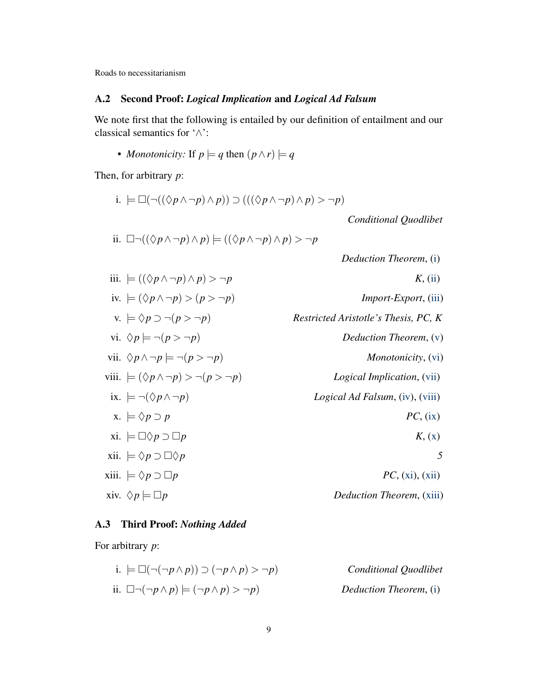# A.2 Second Proof: *Logical Implication* and *Logical Ad Falsum*

We note first that the following is entailed by our definition of entailment and our classical semantics for '∧':

• *Monotonicity:* If  $p \models q$  then  $(p \land r) \models q$ 

Then, for arbitrary *p*:

i. 
$$
\models \Box(\neg((\Diamond p \land \neg p) \land p)) \supset (((\Diamond p \land \neg p) \land p) > \neg p)
$$

*Conditional Quodlibet*

ii. 
$$
\Box \neg ((\Diamond p \land \neg p) \land p) \models ((\Diamond p \land \neg p) \land p) > \neg p
$$

*Deduction Theorem*, [\(i\)](#page-8-0)

<span id="page-8-5"></span><span id="page-8-4"></span><span id="page-8-3"></span><span id="page-8-2"></span>iii. 
$$
\models ((\Diamond p \land \neg p) \land p) > \neg p
$$
  
\niv.  $\models (\Diamond p \land \neg p) > (p > \neg p)$   
\nvi.  $\Diamond p \models \neg(p > \neg p)$   
\nvii.  $\Diamond p \land \neg p \models \neg(p > \neg p)$   
\nvi.  $\Diamond p \land \neg p \models \neg(p > \neg p)$   
\n*Equation Theorem*, (v)  
\niv.  $\Diamond p \land \neg p \models \neg(p > \neg p)$   
\n*Equation Theorem*, (v)  
\n*Monotonicity*, (vi)  
\niv.  $\models (\Diamond p \land \neg p) > \neg(p > \neg p)$   
\n*Logical Implication*, (vii)  
\nix.  $\models \neg(\Diamond p \land \neg p)$   
\n*Logical Ad Falsum*, (iv), (viii)  
\n*Logical Ad Falsum*, (iv), (viii)  
\n*Logical Ad Falsum*, (iv), (viii)  
\n*NC*, (ix)  
\nxii.  $\models \Diamond p \supset \Box p$   
\n*NC*, (xi), (xii)  
\n*Reduction Theorem*, (xiii)  
\n*Reduction Theorem*, (xiii)

# <span id="page-8-9"></span><span id="page-8-8"></span><span id="page-8-7"></span><span id="page-8-6"></span>A.3 Third Proof: *Nothing Added*

<span id="page-8-0"></span>For arbitrary *p*:

<span id="page-8-1"></span>i. 
$$
\models \Box(\neg(\neg p \land p)) \supset (\neg p \land p) > \neg p)
$$
 *Conditional Quadribet*  
ii.  $\Box \neg(\neg p \land p) \models (\neg p \land p) > \neg p)$  *Deduction Theorem*, (i)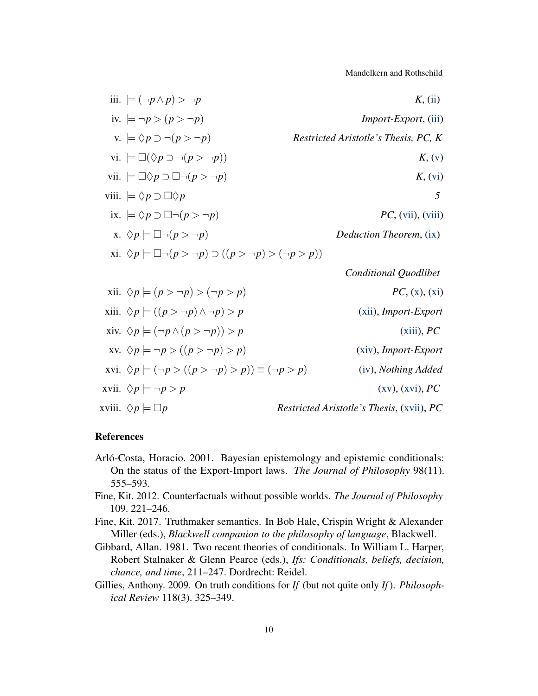Mandelkern and Rothschild

<span id="page-9-13"></span><span id="page-9-12"></span><span id="page-9-11"></span><span id="page-9-10"></span><span id="page-9-9"></span><span id="page-9-8"></span><span id="page-9-7"></span><span id="page-9-6"></span><span id="page-9-5"></span>iii. 
$$
\models (\neg p \land p) > \neg p
$$
  
\niv.  $\models \neg p > (p > \neg p)$   
\nv.  $\models \Diamond p \supset \neg (p > \neg p)$   
\nvi.  $\models \Box(\Diamond p \supset \neg (p > \neg p))$   
\nvii.  $\models \Box(\Diamond p \supset \neg (p > \neg p))$   
\nviii.  $\models \Diamond p \supset \Box \neg (p > \neg p)$   
\niv.  $\models \Box(\Diamond p \supset \neg (p > \neg p))$   
\nviii.  $\models \Diamond p \supset \Box \Diamond p$   
\nix.  $\models \Diamond p \supset \Box \neg (p > \neg p)$   
\nz.  $\Diamond p \models \Box \neg (p > \neg p)$   
\nz.  $\Diamond p \models \Box \neg (p > \neg p)$   
\nz.  $\Diamond p \models \Box \neg (p > \neg p) \supset ((p > \neg p) > (\neg p > p))$   
\nz.  $\Diamond p \models (\neg p \land p \Rightarrow \neg p) \supset ((p > \neg p) > \neg p)$   
\nz.  $\Diamond p \models ((p > \neg p) \land \neg p) > p$   
\nz.  $\Diamond p \models ((p > \neg p) \land \neg p) > p$   
\nz.  $\Diamond p \models (\neg p \land (p > \neg p)) > p$   
\nz.  $\Diamond p \models (\neg p \land (p > \neg p) > p)$   
\nz.  $\Diamond p \models (\neg p \land (p > \neg p) > p)$   
\nz.  $\Diamond p \models (\neg p \land (p > \neg p) > p)$   
\nz.  $\Diamond p \models \neg p > p$   
\nx.  $\Diamond p \models \neg p > p$   
\nx.  $\Diamond p \models \neg p > p$   
\nx.  $\Diamond p \models \neg p > p$   
\nx.  $\Diamond p \models \neg p > p$   
\nx.  $\Diamond p \models \neg p > p$   
\nx.  $\Diamond p \models \neg p > p$   
\nx.  $\Diamond p \models \neg p > p$   
\nx.  $\Diamond p \models \neg p > p$   
\nx.  $\Diamond p \models \neg p > p$   
\nx.  $\Diamond p \models \neg p > p$ 

# <span id="page-9-19"></span><span id="page-9-18"></span><span id="page-9-17"></span><span id="page-9-16"></span><span id="page-9-15"></span><span id="page-9-14"></span>References

- <span id="page-9-3"></span>Arló-Costa, Horacio. 2001. Bayesian epistemology and epistemic conditionals: On the status of the Export-Import laws. *The Journal of Philosophy* 98(11). 555–593.
- <span id="page-9-0"></span>Fine, Kit. 2012. Counterfactuals without possible worlds. *The Journal of Philosophy* 109. 221–246.
- <span id="page-9-1"></span>Fine, Kit. 2017. Truthmaker semantics. In Bob Hale, Crispin Wright & Alexander Miller (eds.), *Blackwell companion to the philosophy of language*, Blackwell.
- <span id="page-9-4"></span>Gibbard, Allan. 1981. Two recent theories of conditionals. In William L. Harper, Robert Stalnaker & Glenn Pearce (eds.), *Ifs: Conditionals, beliefs, decision, chance, and time*, 211–247. Dordrecht: Reidel.
- <span id="page-9-2"></span>Gillies, Anthony. 2009. On truth conditions for *If* (but not quite only *If*). *Philosophical Review* 118(3). 325–349.